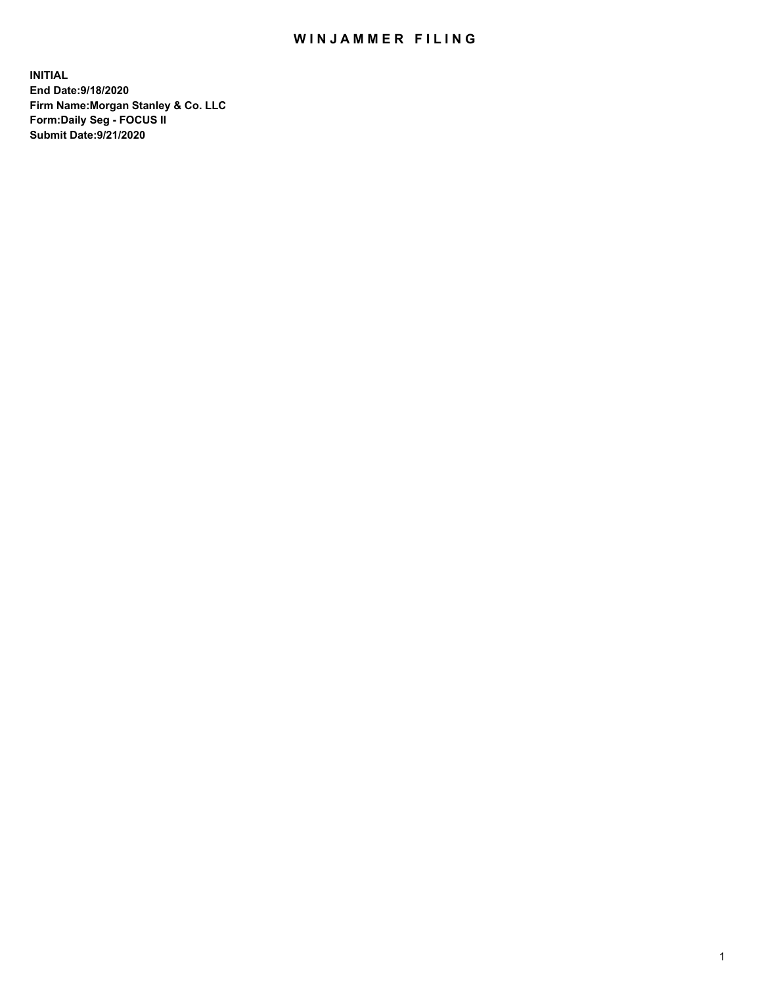## WIN JAMMER FILING

**INITIAL End Date:9/18/2020 Firm Name:Morgan Stanley & Co. LLC Form:Daily Seg - FOCUS II Submit Date:9/21/2020**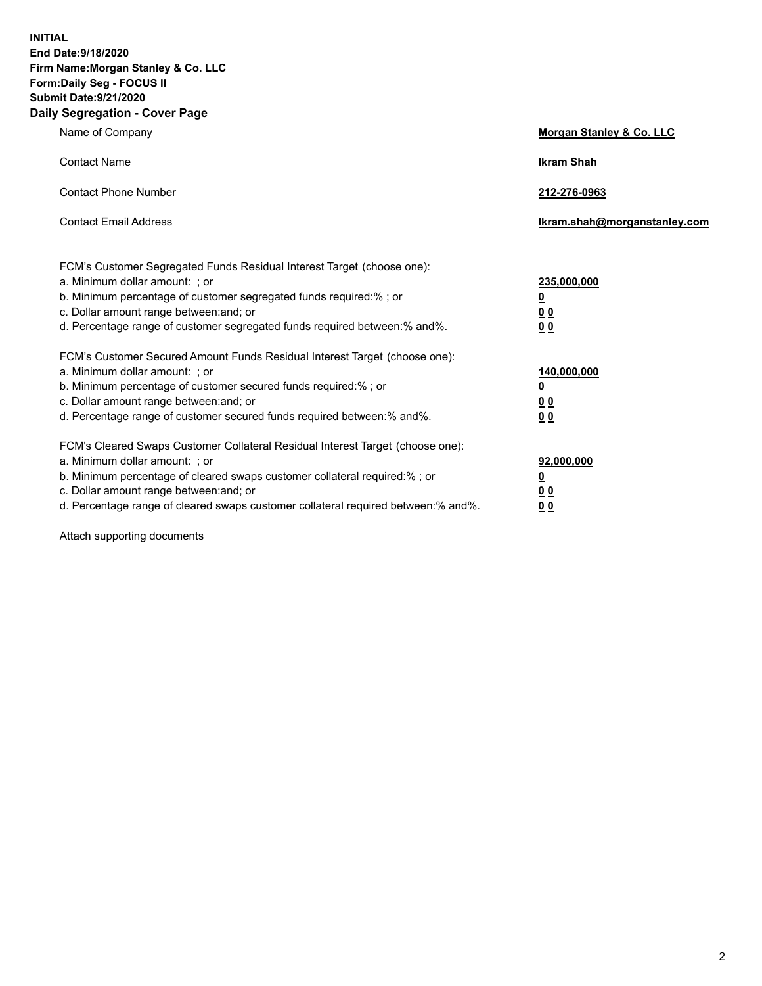**INITIAL End Date:9/18/2020 Firm Name:Morgan Stanley & Co. LLC Form:Daily Seg - FOCUS II Submit Date:9/21/2020 Daily Segregation - Cover Page**

| Name of Company                                                                                                                                                                                                                                                                                                                | Morgan Stanley & Co. LLC                                |
|--------------------------------------------------------------------------------------------------------------------------------------------------------------------------------------------------------------------------------------------------------------------------------------------------------------------------------|---------------------------------------------------------|
| <b>Contact Name</b>                                                                                                                                                                                                                                                                                                            | <b>Ikram Shah</b>                                       |
| <b>Contact Phone Number</b>                                                                                                                                                                                                                                                                                                    | 212-276-0963                                            |
| <b>Contact Email Address</b>                                                                                                                                                                                                                                                                                                   | Ikram.shah@morganstanley.com                            |
| FCM's Customer Segregated Funds Residual Interest Target (choose one):<br>a. Minimum dollar amount: ; or<br>b. Minimum percentage of customer segregated funds required:%; or<br>c. Dollar amount range between: and; or<br>d. Percentage range of customer segregated funds required between: % and %.                        | 235,000,000<br><u>0</u><br>00<br>0 Q                    |
| FCM's Customer Secured Amount Funds Residual Interest Target (choose one):<br>a. Minimum dollar amount: ; or<br>b. Minimum percentage of customer secured funds required:%; or<br>c. Dollar amount range between: and; or<br>d. Percentage range of customer secured funds required between:% and%.                            | 140,000,000<br><u>0</u><br><u>0 0</u><br>0 <sub>0</sub> |
| FCM's Cleared Swaps Customer Collateral Residual Interest Target (choose one):<br>a. Minimum dollar amount: ; or<br>b. Minimum percentage of cleared swaps customer collateral required:% ; or<br>c. Dollar amount range between: and; or<br>d. Percentage range of cleared swaps customer collateral required between:% and%. | 92,000,000<br><u>0</u><br><u>00</u><br>00               |

Attach supporting documents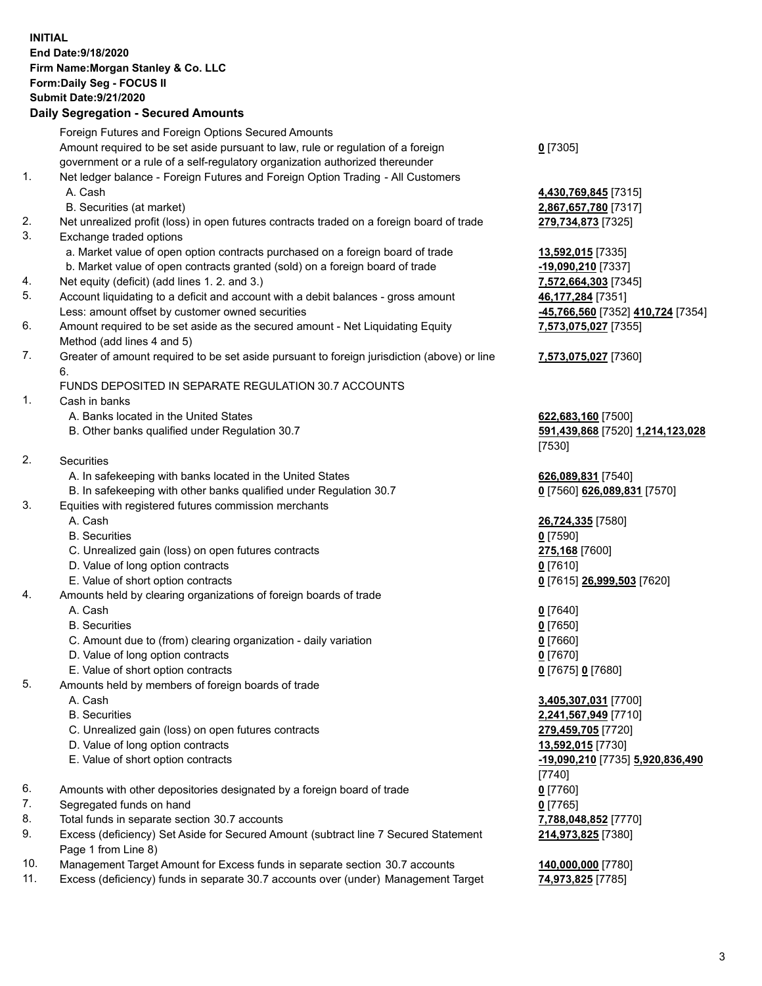## **INITIAL End Date:9/18/2020 Firm Name:Morgan Stanley & Co. LLC Form:Daily Seg - FOCUS II Submit Date:9/21/2020**

## **Daily Segregation - Secured Amounts**

|     | Foreign Futures and Foreign Options Secured Amounts                                                          |                                   |
|-----|--------------------------------------------------------------------------------------------------------------|-----------------------------------|
|     | Amount required to be set aside pursuant to law, rule or regulation of a foreign                             | $0$ [7305]                        |
|     | government or a rule of a self-regulatory organization authorized thereunder                                 |                                   |
| 1.  | Net ledger balance - Foreign Futures and Foreign Option Trading - All Customers                              |                                   |
|     | A. Cash                                                                                                      | 4,430,769,845 [7315]              |
|     | B. Securities (at market)                                                                                    | 2,867,657,780 [7317]              |
| 2.  | Net unrealized profit (loss) in open futures contracts traded on a foreign board of trade                    | 279,734,873 [7325]                |
| 3.  | Exchange traded options                                                                                      |                                   |
|     | a. Market value of open option contracts purchased on a foreign board of trade                               | 13,592,015 [7335]                 |
|     | b. Market value of open contracts granted (sold) on a foreign board of trade                                 | -19,090,210 [7337]                |
| 4.  | Net equity (deficit) (add lines 1.2. and 3.)                                                                 | 7,572,664,303 [7345]              |
| 5.  | Account liquidating to a deficit and account with a debit balances - gross amount                            | 46,177,284 [7351]                 |
|     | Less: amount offset by customer owned securities                                                             | -45,766,560 [7352] 410,724 [7354] |
| 6.  |                                                                                                              |                                   |
|     | Amount required to be set aside as the secured amount - Net Liquidating Equity<br>Method (add lines 4 and 5) | 7,573,075,027 [7355]              |
| 7.  | Greater of amount required to be set aside pursuant to foreign jurisdiction (above) or line                  | 7,573,075,027 [7360]              |
|     | 6.                                                                                                           |                                   |
|     | FUNDS DEPOSITED IN SEPARATE REGULATION 30.7 ACCOUNTS                                                         |                                   |
| 1.  | Cash in banks                                                                                                |                                   |
|     | A. Banks located in the United States                                                                        | 622,683,160 [7500]                |
|     | B. Other banks qualified under Regulation 30.7                                                               | 591,439,868 [7520] 1,214,123,028  |
|     |                                                                                                              | [7530]                            |
| 2.  | <b>Securities</b>                                                                                            |                                   |
|     | A. In safekeeping with banks located in the United States                                                    | 626,089,831 [7540]                |
|     | B. In safekeeping with other banks qualified under Regulation 30.7                                           | 0 [7560] 626,089,831 [7570]       |
| 3.  | Equities with registered futures commission merchants                                                        |                                   |
|     | A. Cash                                                                                                      | 26,724,335 [7580]                 |
|     | <b>B.</b> Securities                                                                                         | $0$ [7590]                        |
|     | C. Unrealized gain (loss) on open futures contracts                                                          | 275,168 [7600]                    |
|     | D. Value of long option contracts                                                                            | $0$ [7610]                        |
|     | E. Value of short option contracts                                                                           | 0 [7615] 26,999,503 [7620]        |
| 4.  | Amounts held by clearing organizations of foreign boards of trade                                            |                                   |
|     | A. Cash                                                                                                      | $0$ [7640]                        |
|     | <b>B.</b> Securities                                                                                         | $0$ [7650]                        |
|     | C. Amount due to (from) clearing organization - daily variation                                              | $0$ [7660]                        |
|     | D. Value of long option contracts                                                                            | $0$ [7670]                        |
|     | E. Value of short option contracts                                                                           | $0$ [7675] 0 [7680]               |
| 5.  | Amounts held by members of foreign boards of trade                                                           |                                   |
|     | A. Cash                                                                                                      | 3,405,307,031 [7700]              |
|     | <b>B.</b> Securities                                                                                         | 2,241,567,949 [7710]              |
|     | C. Unrealized gain (loss) on open futures contracts                                                          | 279,459,705 [7720]                |
|     | D. Value of long option contracts                                                                            | 13,592,015 [7730]                 |
|     | E. Value of short option contracts                                                                           | -19,090,210 [7735] 5,920,836,490  |
|     |                                                                                                              | $[7740]$                          |
| 6.  | Amounts with other depositories designated by a foreign board of trade                                       |                                   |
| 7.  | Segregated funds on hand                                                                                     | $0$ [7760]                        |
| 8.  |                                                                                                              | $0$ [7765]                        |
| 9.  | Total funds in separate section 30.7 accounts                                                                | 7,788,048,852 [7770]              |
|     | Excess (deficiency) Set Aside for Secured Amount (subtract line 7 Secured Statement<br>Page 1 from Line 8)   | 214,973,825 [7380]                |
| 1 N | Management Target Amount for Excess funds in separate section 30.7 accounts                                  | 140.000.000.177801                |

10. Management Target Amount for Excess funds in separate section 30.7 accounts **140,000,000** [7780] 11. Excess (deficiency) funds in separate 30.7 accounts over (under) Management Target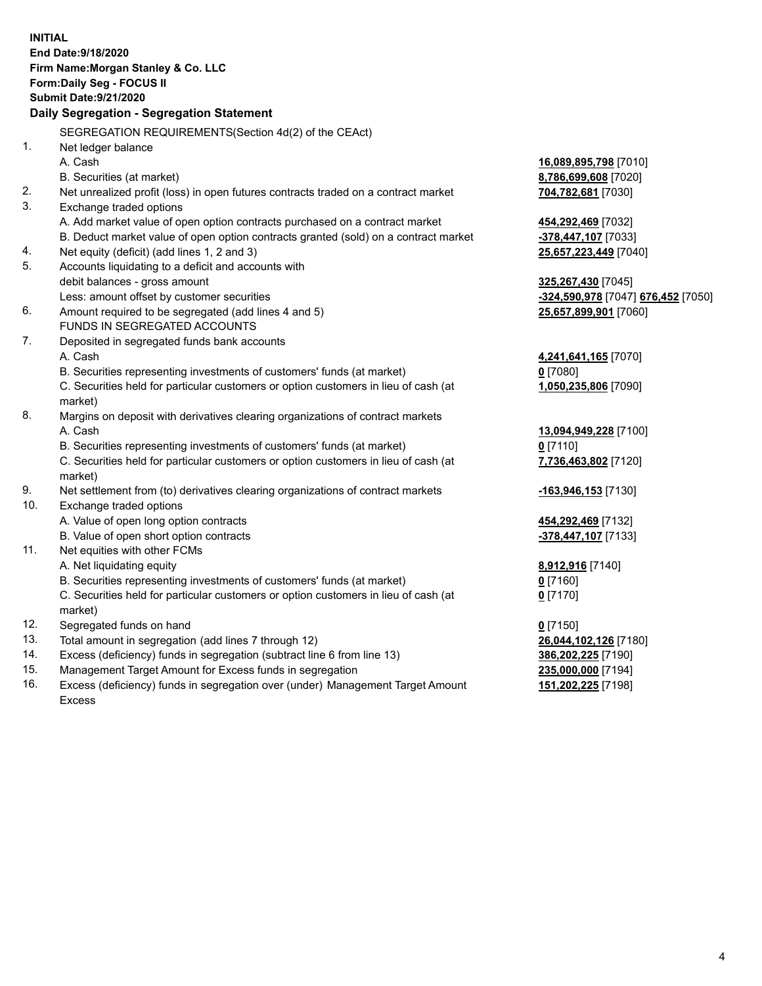|                | <b>INITIAL</b>                                                                             |                                    |
|----------------|--------------------------------------------------------------------------------------------|------------------------------------|
|                | End Date: 9/18/2020                                                                        |                                    |
|                | Firm Name: Morgan Stanley & Co. LLC                                                        |                                    |
|                | Form: Daily Seg - FOCUS II                                                                 |                                    |
|                | <b>Submit Date: 9/21/2020</b>                                                              |                                    |
|                | Daily Segregation - Segregation Statement                                                  |                                    |
|                | SEGREGATION REQUIREMENTS(Section 4d(2) of the CEAct)                                       |                                    |
| 1 <sub>1</sub> | Net ledger balance                                                                         |                                    |
|                | A. Cash                                                                                    | 16,089,895,798 [7010]              |
|                | B. Securities (at market)                                                                  | 8,786,699,608 [7020]               |
| 2.             | Net unrealized profit (loss) in open futures contracts traded on a contract market         | 704,782,681 [7030]                 |
| 3.             | Exchange traded options                                                                    |                                    |
|                | A. Add market value of open option contracts purchased on a contract market                | 454,292,469 [7032]                 |
|                | B. Deduct market value of open option contracts granted (sold) on a contract market        | -378,447,107 [7033]                |
| 4.             | Net equity (deficit) (add lines 1, 2 and 3)                                                | 25,657,223,449 [7040]              |
| 5.             | Accounts liquidating to a deficit and accounts with                                        |                                    |
|                | debit balances - gross amount                                                              | 325,267,430 [7045]                 |
|                | Less: amount offset by customer securities                                                 | -324,590,978 [7047] 676,452 [7050] |
| 6.             | Amount required to be segregated (add lines 4 and 5)                                       | 25,657,899,901 [7060]              |
|                | FUNDS IN SEGREGATED ACCOUNTS                                                               |                                    |
| 7.             | Deposited in segregated funds bank accounts                                                |                                    |
|                | A. Cash                                                                                    | 4,241,641,165 [7070]               |
|                | B. Securities representing investments of customers' funds (at market)                     | $0$ [7080]                         |
|                | C. Securities held for particular customers or option customers in lieu of cash (at        | 1,050,235,806 [7090]               |
|                | market)                                                                                    |                                    |
| 8.             | Margins on deposit with derivatives clearing organizations of contract markets             |                                    |
|                | A. Cash                                                                                    | 13,094,949,228 [7100]              |
|                | B. Securities representing investments of customers' funds (at market)                     | $0$ [7110]                         |
|                | C. Securities held for particular customers or option customers in lieu of cash (at        | 7,736,463,802 [7120]               |
| 9.             | market)<br>Net settlement from (to) derivatives clearing organizations of contract markets |                                    |
| 10.            | Exchange traded options                                                                    | -163,946,153 [7130]                |
|                | A. Value of open long option contracts                                                     | 454,292,469 [7132]                 |
|                | B. Value of open short option contracts                                                    | -378,447,107 [7133]                |
| 11.            | Net equities with other FCMs                                                               |                                    |
|                | A. Net liquidating equity                                                                  | 8,912,916 [7140]                   |
|                | B. Securities representing investments of customers' funds (at market)                     | $0$ [7160]                         |
|                | C. Securities held for particular customers or option customers in lieu of cash (at        | $0$ [7170]                         |
|                | market)                                                                                    |                                    |
| 12.            | Segregated funds on hand                                                                   | $0$ [7150]                         |
| 13.            | Total amount in segregation (add lines 7 through 12)                                       | 26,044,102,126 [7180]              |
| 14.            | Excess (deficiency) funds in segregation (subtract line 6 from line 13)                    | 386,202,225 [7190]                 |
| 15.            | Management Target Amount for Excess funds in segregation                                   | 235,000,000 [7194]                 |
| 16.            | Excess (deficiency) funds in segregation over (under) Management Target Amount             | 151,202,225 [7198]                 |

16. Excess (deficiency) funds in segregation over (under) Management Target Amount Excess